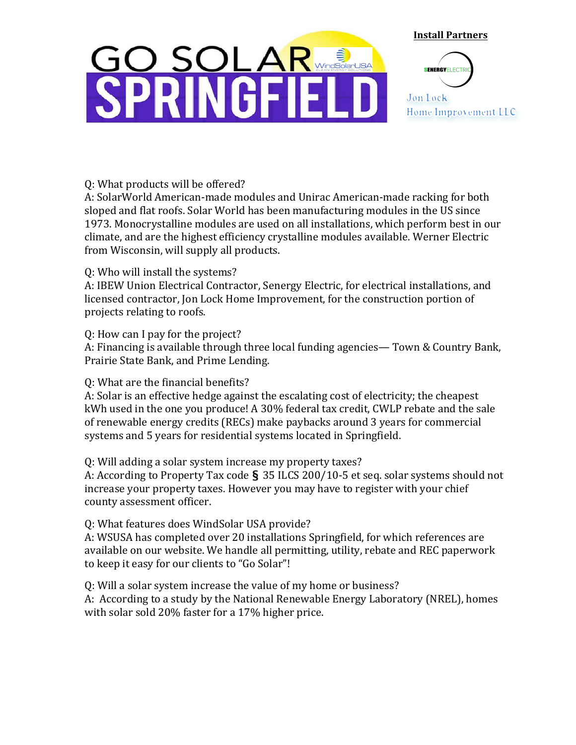# <u>GO SOLA</u> **NGF**

**Install Partners** 



Q: What products will be offered?

A: SolarWorld American-made modules and Unirac American-made racking for both sloped and flat roofs. Solar World has been manufacturing modules in the US since 1973. Monocrystalline modules are used on all installations, which perform best in our climate, and are the highest efficiency crystalline modules available. Werner Electric from Wisconsin, will supply all products.

#### 0: Who will install the systems?

A: IBEW Union Electrical Contractor, Senergy Electric, for electrical installations, and licensed contractor, Jon Lock Home Improvement, for the construction portion of projects relating to roofs.

#### Q: How can I pay for the project?

A: Financing is available through three local funding agencies— Town & Country Bank, Prairie State Bank, and Prime Lending.

## Q: What are the financial benefits?

A: Solar is an effective hedge against the escalating cost of electricity; the cheapest kWh used in the one you produce! A 30% federal tax credit, CWLP rebate and the sale of renewable energy credits (RECs) make paybacks around 3 years for commercial systems and 5 years for residential systems located in Springfield.

## Q: Will adding a solar system increase my property taxes?

A: According to Property Tax code § 35 ILCS 200/10-5 et seq. solar systems should not increase your property taxes. However you may have to register with your chief county assessment officer.

## Q: What features does WindSolar USA provide?

A: WSUSA has completed over 20 installations Springfield, for which references are available on our website. We handle all permitting, utility, rebate and REC paperwork to keep it easy for our clients to "Go Solar"!

Q: Will a solar system increase the value of my home or business? A: According to a study by the National Renewable Energy Laboratory (NREL), homes with solar sold 20% faster for a 17% higher price.